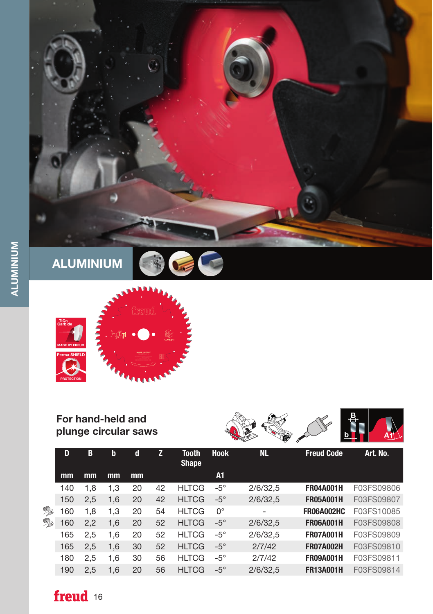



## For hand-held and plunge circular saws



|           | D   | В   | $\mathbf b$ | d  | z  | <b>Tooth</b><br><b>Shape</b> | <b>Hook</b> | <b>NL</b> | <b>Freud Code</b> | Art. No.   |
|-----------|-----|-----|-------------|----|----|------------------------------|-------------|-----------|-------------------|------------|
|           | mm  | mm  | mm          | mm |    |                              | A1          |           |                   |            |
| <b>By</b> | 140 | 1.8 | 1,3         | 20 | 42 | <b>HLTCG</b>                 | $-5^\circ$  | 2/6/32.5  | <b>FR04A001H</b>  | F03FS09806 |
|           | 150 | 2,5 | 1.6         | 20 | 42 | <b>HLTCG</b>                 | $-5^\circ$  | 2/6/32,5  | <b>FR05A001H</b>  | F03FS09807 |
|           | 60  | 1.8 | 1,3         | 20 | 54 | <b>HLTCG</b>                 | $0^{\circ}$ | ۰         | <b>FR06A002HC</b> | F03FS10085 |
| °         | 60  | 2,2 | 1,6         | 20 | 52 | <b>HLTCG</b>                 | $-5^\circ$  | 2/6/32,5  | <b>FR06A001H</b>  | F03FS09808 |
|           | 165 | 2.5 | 1.6         | 20 | 52 | <b>HLTCG</b>                 | $-5^\circ$  | 2/6/32.5  | <b>FR07A001H</b>  | F03FS09809 |
|           | 165 | 2,5 | 1,6         | 30 | 52 | <b>HLTCG</b>                 | $-5^\circ$  | 2/7/42    | <b>FR07A002H</b>  | F03FS09810 |
|           | 180 | 2,5 | 1.6         | 30 | 56 | <b>HLTCG</b>                 | $-5^\circ$  | 2/7/42    | <b>FR09A001H</b>  | F03FS09811 |
|           | 190 | 2.5 | 1.6         | 20 | 56 | <b>HLTCG</b>                 | $-5^\circ$  | 2/6/32.5  | <b>FR13A001H</b>  | F03FS09814 |

freud 16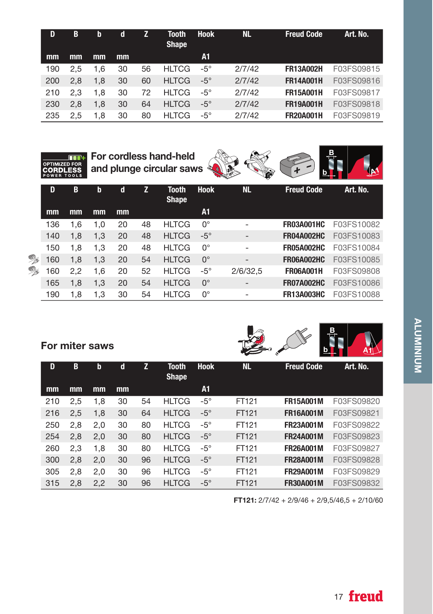| D   | B   | b   | d  |    | Tooth<br><b>Shape</b> | <b>Hook</b> | <b>NL</b> | <b>Freud Code</b> | Art. No.   |
|-----|-----|-----|----|----|-----------------------|-------------|-----------|-------------------|------------|
| mm  | mm  | mm  | mm |    |                       | A1          |           |                   |            |
| 190 | 2.5 | 1.6 | 30 | 56 | <b>HLTCG</b>          | $-5^\circ$  | 2/7/42    | <b>FR13A002H</b>  | F03FS09815 |
| 200 | 2.8 | 1.8 | 30 | 60 | <b>HLTCG</b>          | $-5^\circ$  | 2/7/42    | <b>FR14A001H</b>  | F03FS09816 |
| 210 | 2.3 | 1.8 | 30 | 72 | <b>HLTCG</b>          | $-5^\circ$  | 2/7/42    | <b>FR15A001H</b>  | F03FS09817 |
| 230 | 2.8 | 1.8 | 30 | 64 | <b>HLTCG</b>          | $-5^\circ$  | 2/7/42    | <b>FR19A001H</b>  | F03FS09818 |
| 235 | 2.5 | 1.8 | 30 | 80 | <b>HLTCG</b>          | $-5^\circ$  | 2/7/42    | <b>FR20A001H</b>  | F03FS09819 |



|     |     |     |    |    |                              |             | ∼<br>w                   |                   |            |
|-----|-----|-----|----|----|------------------------------|-------------|--------------------------|-------------------|------------|
| D   | B   | b   | d  | z  | <b>Tooth</b><br><b>Shape</b> | <b>Hook</b> | <b>NL</b>                | <b>Freud Code</b> | Art. No.   |
| mm  | mm  | mm  | mm |    |                              | A1          |                          |                   |            |
| 136 | 1.6 | 1.0 | 20 | 48 | <b>HLTCG</b>                 | $0^{\circ}$ |                          | <b>FR03A001HC</b> | F03FS10082 |
| 140 | 1,8 | 1,3 | 20 | 48 | <b>HLTCG</b>                 | $-5^\circ$  | $\overline{\phantom{a}}$ | <b>FR04A002HC</b> | F03FS10083 |
| 150 | 1,8 | 1,3 | 20 | 48 | <b>HLTCG</b>                 | $0^{\circ}$ |                          | <b>FR05A002HC</b> | F03FS10084 |
| 160 | 1,8 | 1,3 | 20 | 54 | <b>HLTCG</b>                 | $0^{\circ}$ | -                        | <b>FR06A002HC</b> | F03FS10085 |
| 160 | 2,2 | 1.6 | 20 | 52 | <b>HLTCG</b>                 | $-5^\circ$  | 2/6/32,5                 | <b>FR06A001H</b>  | F03FS09808 |
| 165 | 1,8 | 1,3 | 20 | 54 | <b>HLTCG</b>                 | $0^{\circ}$ | $\overline{\phantom{a}}$ | <b>FR07A002HC</b> | F03FS10086 |
| 190 | 1.8 | 1,3 | 30 | 54 | <b>HLTCG</b>                 | $0^{\circ}$ | ٠                        | <b>FR13A003HC</b> | F03FS10088 |

and plunge circular saws

For miter saws  $\mathbb{R}$ 

OPTIMIZED FOR

**BARK** 

| D   | B   | b   | d  | Z  | <b>Tooth</b><br><b>Shape</b> | <b>Hook</b> | <b>NL</b> | <b>Freud Code</b> | Art. No.   |
|-----|-----|-----|----|----|------------------------------|-------------|-----------|-------------------|------------|
| mm  | mm  | mm  | mm |    |                              | A1          |           |                   |            |
| 210 | 2,5 | 1,8 | 30 | 54 | <b>HLTCG</b>                 | $-5^\circ$  | FT121     | <b>FR15A001M</b>  | F03FS09820 |
| 216 | 2,5 | 1,8 | 30 | 64 | <b>HLTCG</b>                 | $-5^\circ$  | FT121     | <b>FR16A001M</b>  | F03FS09821 |
| 250 | 2,8 | 2,0 | 30 | 80 | <b>HLTCG</b>                 | $-5^\circ$  | FT121     | <b>FR23A001M</b>  | F03FS09822 |
| 254 | 2,8 | 2,0 | 30 | 80 | <b>HLTCG</b>                 | $-5^\circ$  | FT121     | <b>FR24A001M</b>  | F03FS09823 |
| 260 | 2,3 | 1,8 | 30 | 80 | <b>HLTCG</b>                 | $-5^\circ$  | FT121     | <b>FR26A001M</b>  | F03FS09827 |
| 300 | 2,8 | 2,0 | 30 | 96 | <b>HLTCG</b>                 | $-5^\circ$  | FT121     | <b>FR28A001M</b>  | F03FS09828 |
| 305 | 2,8 | 2,0 | 30 | 96 | <b>HLTCG</b>                 | $-5^\circ$  | FT121     | <b>FR29A001M</b>  | F03FS09829 |
| 315 | 2,8 | 2,2 | 30 | 96 | <b>HLTCG</b>                 | $-5^\circ$  | FT121     | <b>FR30A001M</b>  | F03FS09832 |

FT121: 2/7/42 + 2/9/46 + 2/9,5/46,5 + 2/10/60

e<br>Bari<br>Bari